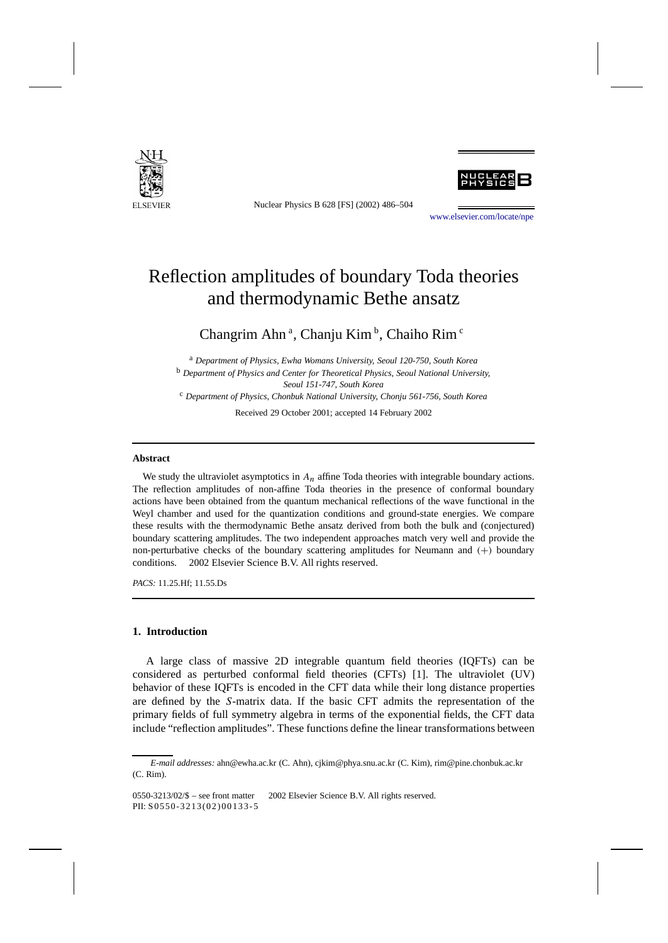

Nuclear Physics B 628 [FS] (2002) 486–504

[www.elsevier.com/locate/npe](http://www.elsevier.com/locate/npe)

# Reflection amplitudes of boundary Toda theories and thermodynamic Bethe ansatz

# Changrim Ahn<sup>a</sup>, Chanju Kim<sup>b</sup>, Chaiho Rim<sup>c</sup>

<sup>a</sup> *Department of Physics, Ewha Womans University, Seoul 120-750, South Korea* <sup>b</sup> *Department of Physics and Center for Theoretical Physics, Seoul National University, Seoul 151-747, South Korea* <sup>c</sup> *Department of Physics, Chonbuk National University, Chonju 561-756, South Korea* Received 29 October 2001; accepted 14 February 2002

#### **Abstract**

We study the ultraviolet asymptotics in  $A_n$  affine Toda theories with integrable boundary actions. The reflection amplitudes of non-affine Toda theories in the presence of conformal boundary actions have been obtained from the quantum mechanical reflections of the wave functional in the Weyl chamber and used for the quantization conditions and ground-state energies. We compare these results with the thermodynamic Bethe ansatz derived from both the bulk and (conjectured) boundary scattering amplitudes. The two independent approaches match very well and provide the non-perturbative checks of the boundary scattering amplitudes for Neumann and *(*+*)* boundary conditions.  $© 2002$  Elsevier Science B.V. All rights reserved.

*PACS:* 11.25.Hf; 11.55.Ds

# **1. Introduction**

A large class of massive 2D integrable quantum field theories (IQFTs) can be considered as perturbed conformal field theories (CFTs) [1]. The ultraviolet (UV) behavior of these IQFTs is encoded in the CFT data while their long distance properties are defined by the *S*-matrix data. If the basic CFT admits the representation of the primary fields of full symmetry algebra in terms of the exponential fields, the CFT data include "reflection amplitudes". These functions define the linear transformations between

*E-mail addresses:* ahn@ewha.ac.kr (C. Ahn), cjkim@phya.snu.ac.kr (C. Kim), rim@pine.chonbuk.ac.kr (C. Rim).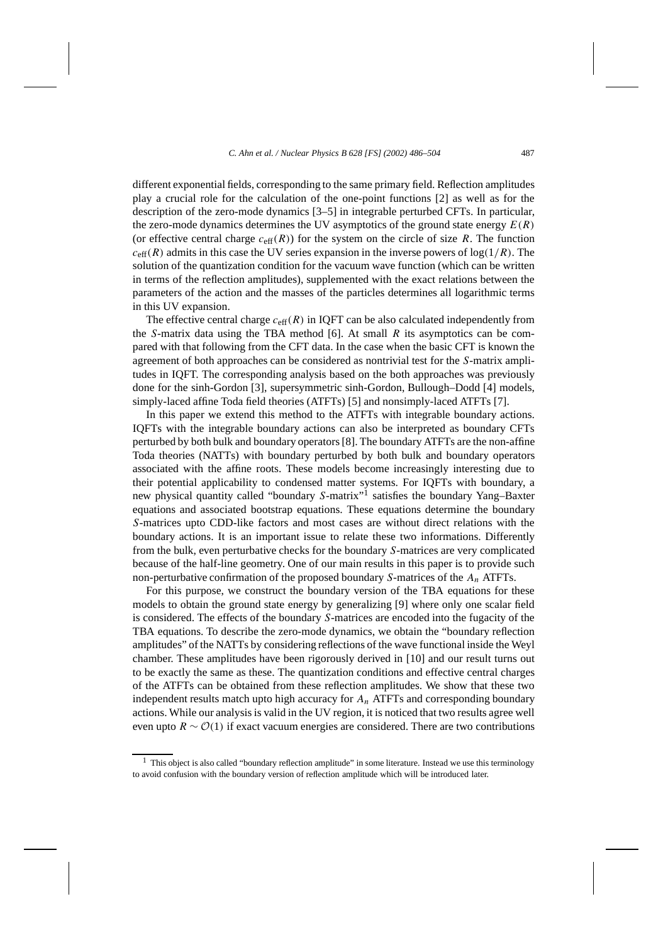different exponential fields, corresponding to the same primary field. Reflection amplitudes play a crucial role for the calculation of the one-point functions [2] as well as for the description of the zero-mode dynamics [3–5] in integrable perturbed CFTs. In particular, the zero-mode dynamics determines the UV asymptotics of the ground state energy  $E(R)$ (or effective central charge  $c_{\text{eff}}(R)$ ) for the system on the circle of size R. The function  $c_{\text{eff}}(R)$  admits in this case the UV series expansion in the inverse powers of  $\log(1/R)$ . The solution of the quantization condition for the vacuum wave function (which can be written in terms of the reflection amplitudes), supplemented with the exact relations between the parameters of the action and the masses of the particles determines all logarithmic terms in this UV expansion.

The effective central charge  $c_{\text{eff}}(R)$  in IQFT can be also calculated independently from the *S*-matrix data using the TBA method [6]. At small *R* its asymptotics can be compared with that following from the CFT data. In the case when the basic CFT is known the agreement of both approaches can be considered as nontrivial test for the *S*-matrix amplitudes in IQFT. The corresponding analysis based on the both approaches was previously done for the sinh-Gordon [3], supersymmetric sinh-Gordon, Bullough–Dodd [4] models, simply-laced affine Toda field theories (ATFTs) [5] and nonsimply-laced ATFTs [7].

In this paper we extend this method to the ATFTs with integrable boundary actions. IQFTs with the integrable boundary actions can also be interpreted as boundary CFTs perturbed by both bulk and boundary operators [8]. The boundary ATFTs are the non-affine Toda theories (NATTs) with boundary perturbed by both bulk and boundary operators associated with the affine roots. These models become increasingly interesting due to their potential applicability to condensed matter systems. For IQFTs with boundary, a new physical quantity called "boundary *S*-matrix"<sup>1</sup> satisfies the boundary Yang–Baxter equations and associated bootstrap equations. These equations determine the boundary *S*-matrices upto CDD-like factors and most cases are without direct relations with the boundary actions. It is an important issue to relate these two informations. Differently from the bulk, even perturbative checks for the boundary *S*-matrices are very complicated because of the half-line geometry. One of our main results in this paper is to provide such non-perturbative confirmation of the proposed boundary *S*-matrices of the *An* ATFTs.

For this purpose, we construct the boundary version of the TBA equations for these models to obtain the ground state energy by generalizing [9] where only one scalar field is considered. The effects of the boundary *S*-matrices are encoded into the fugacity of the TBA equations. To describe the zero-mode dynamics, we obtain the "boundary reflection amplitudes" of the NATTs by considering reflections of the wave functional inside the Weyl chamber. These amplitudes have been rigorously derived in [10] and our result turns out to be exactly the same as these. The quantization conditions and effective central charges of the ATFTs can be obtained from these reflection amplitudes. We show that these two independent results match upto high accuracy for  $A_n$  ATFTs and corresponding boundary actions. While our analysis is valid in the UV region, it is noticed that two results agree well even upto  $R \sim \mathcal{O}(1)$  if exact vacuum energies are considered. There are two contributions

 $<sup>1</sup>$  This object is also called "boundary reflection amplitude" in some literature. Instead we use this terminology</sup> to avoid confusion with the boundary version of reflection amplitude which will be introduced later.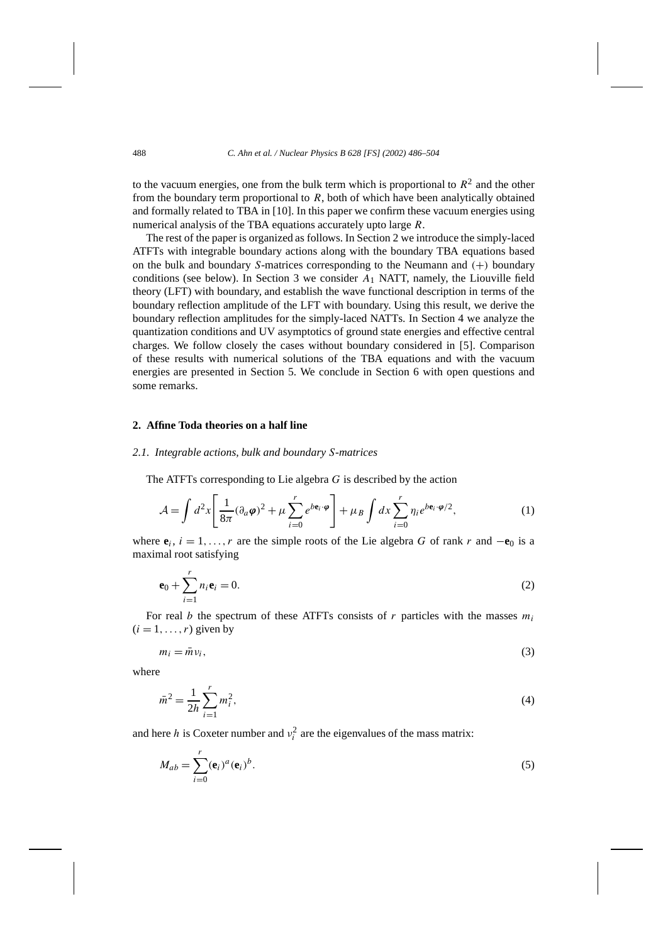to the vacuum energies, one from the bulk term which is proportional to  $R^2$  and the other from the boundary term proportional to *R*, both of which have been analytically obtained and formally related to TBA in [10]. In this paper we confirm these vacuum energies using numerical analysis of the TBA equations accurately upto large *R*.

The rest of the paper is organized as follows. In Section 2 we introduce the simply-laced ATFTs with integrable boundary actions along with the boundary TBA equations based on the bulk and boundary *S*-matrices corresponding to the Neumann and *(*+*)* boundary conditions (see below). In Section 3 we consider *A*<sup>1</sup> NATT, namely, the Liouville field theory (LFT) with boundary, and establish the wave functional description in terms of the boundary reflection amplitude of the LFT with boundary. Using this result, we derive the boundary reflection amplitudes for the simply-laced NATTs. In Section 4 we analyze the quantization conditions and UV asymptotics of ground state energies and effective central charges. We follow closely the cases without boundary considered in [5]. Comparison of these results with numerical solutions of the TBA equations and with the vacuum energies are presented in Section 5. We conclude in Section 6 with open questions and some remarks.

#### **2. Affine Toda theories on a half line**

# *2.1. Integrable actions, bulk and boundary S-matrices*

The ATFTs corresponding to Lie algebra *G* is described by the action

$$
\mathcal{A} = \int d^2x \left[ \frac{1}{8\pi} (\partial_a \varphi)^2 + \mu \sum_{i=0}^r e^{b \mathbf{e}_i \cdot \varphi} \right] + \mu \int dx \sum_{i=0}^r \eta_i e^{b \mathbf{e}_i \cdot \varphi/2}, \tag{1}
$$

where  $e_i$ ,  $i = 1, \ldots, r$  are the simple roots of the Lie algebra *G* of rank *r* and  $-e_0$  is a maximal root satisfying

$$
\mathbf{e}_0 + \sum_{i=1}^r n_i \mathbf{e}_i = 0. \tag{2}
$$

For real *b* the spectrum of these ATFTs consists of *r* particles with the masses  $m_i$  $(i = 1, \ldots, r)$  given by

$$
m_i = \bar{m}v_i, \tag{3}
$$

where

$$
\bar{m}^2 = \frac{1}{2h} \sum_{i=1}^r m_i^2,\tag{4}
$$

and here *h* is Coxeter number and  $v_i^2$  are the eigenvalues of the mass matrix:

$$
M_{ab} = \sum_{i=0}^{r} (\mathbf{e}_i)^a (\mathbf{e}_i)^b.
$$
 (5)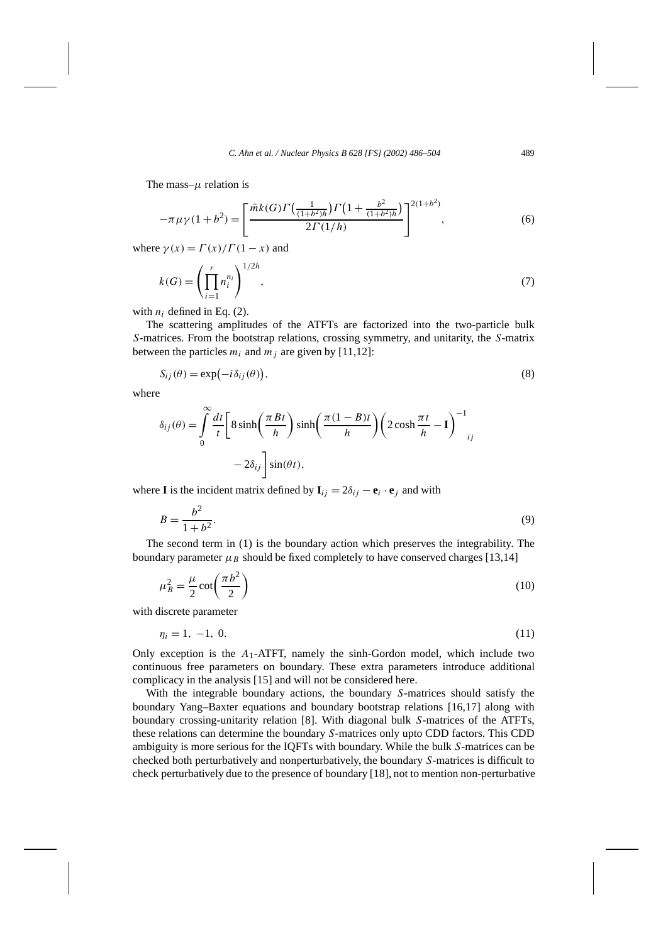The mass– $\mu$  relation is

$$
-\pi \mu \gamma (1+b^2) = \left[ \frac{\bar{m}k(G)\Gamma\left(\frac{1}{(1+b^2)h}\right)\Gamma\left(1+\frac{b^2}{(1+b^2)h}\right)}{2\Gamma(1/h)} \right]^{2(1+b^2)},\tag{6}
$$

where  $\gamma(x) = \frac{\Gamma(x)}{\Gamma(1-x)}$  and

$$
k(G) = \left(\prod_{i=1}^{r} n_i^{n_i}\right)^{1/2h},\tag{7}
$$

with  $n_i$  defined in Eq. (2).

The scattering amplitudes of the ATFTs are factorized into the two-particle bulk *S*-matrices. From the bootstrap relations, crossing symmetry, and unitarity, the *S*-matrix between the particles  $m_i$  and  $m_j$  are given by [11,12]:

$$
S_{ij}(\theta) = \exp(-i\delta_{ij}(\theta)),
$$
\n(8)

where

$$
\delta_{ij}(\theta) = \int_{0}^{\infty} \frac{dt}{t} \left[ 8 \sinh\left(\frac{\pi B t}{h}\right) \sinh\left(\frac{\pi (1 - B)t}{h}\right) \left(2 \cosh\frac{\pi t}{h} - \mathbf{I}\right)^{-1}_{ij} - 2\delta_{ij} \right] \sin(\theta t),
$$

where **I** is the incident matrix defined by  $I_{ij} = 2\delta_{ij} - e_i \cdot e_j$  and with

$$
B = \frac{b^2}{1 + b^2}.\tag{9}
$$

The second term in (1) is the boundary action which preserves the integrability. The boundary parameter  $\mu_B$  should be fixed completely to have conserved charges [13,14]

$$
\mu_B^2 = \frac{\mu}{2} \cot \left(\frac{\pi b^2}{2}\right) \tag{10}
$$

with discrete parameter

$$
\eta_i = 1, -1, 0. \tag{11}
$$

Only exception is the *A*1-ATFT, namely the sinh-Gordon model, which include two continuous free parameters on boundary. These extra parameters introduce additional complicacy in the analysis [15] and will not be considered here.

With the integrable boundary actions, the boundary *S*-matrices should satisfy the boundary Yang–Baxter equations and boundary bootstrap relations [16,17] along with boundary crossing-unitarity relation [8]. With diagonal bulk *S*-matrices of the ATFTs, these relations can determine the boundary *S*-matrices only upto CDD factors. This CDD ambiguity is more serious for the IQFTs with boundary. While the bulk *S*-matrices can be checked both perturbatively and nonperturbatively, the boundary *S*-matrices is difficult to check perturbatively due to the presence of boundary [18], not to mention non-perturbative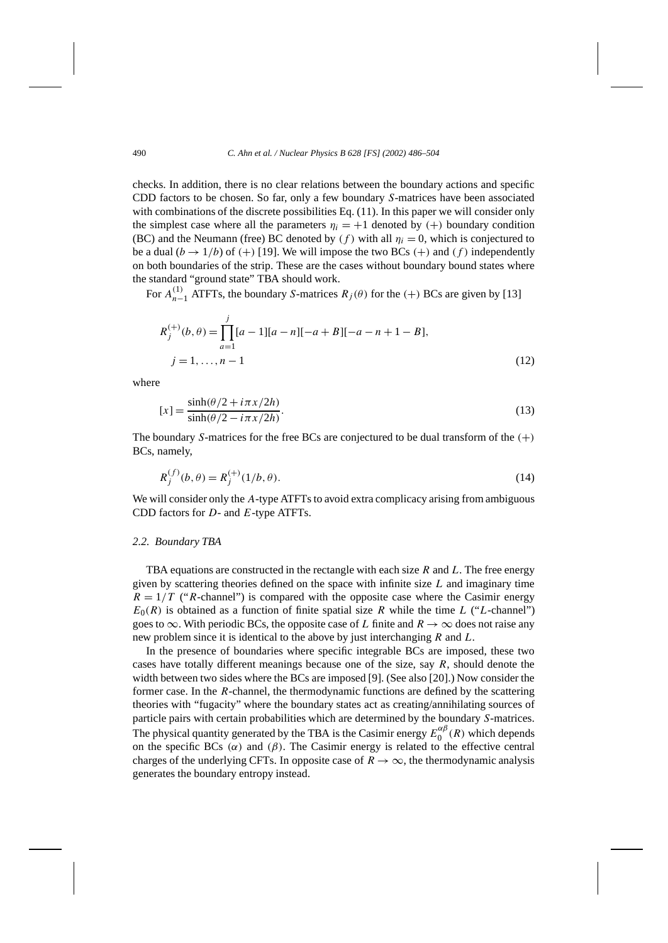checks. In addition, there is no clear relations between the boundary actions and specific CDD factors to be chosen. So far, only a few boundary *S*-matrices have been associated with combinations of the discrete possibilities Eq. (11). In this paper we will consider only the simplest case where all the parameters  $\eta_i = +1$  denoted by  $(+)$  boundary condition (BC) and the Neumann (free) BC denoted by  $(f)$  with all  $\eta_i = 0$ , which is conjectured to be a dual  $(b \rightarrow 1/b)$  of  $(+)$  [19]. We will impose the two BCs  $(+)$  and  $(f)$  independently on both boundaries of the strip. These are the cases without boundary bound states where the standard "ground state" TBA should work.

For  $A_{n-1}^{(1)}$  ATFTs, the boundary *S*-matrices  $R_j(\theta)$  for the (+) BCs are given by [13]

$$
R_j^{(+)}(b,\theta) = \prod_{a=1}^j [a-1][a-n][-a+B][-a-n+1-B],
$$
  

$$
j = 1, ..., n-1
$$
 (12)

where

$$
[x] = \frac{\sinh(\theta/2 + i\pi x/2h)}{\sinh(\theta/2 - i\pi x/2h)}.
$$
\n(13)

The boundary *S*-matrices for the free BCs are conjectured to be dual transform of the *(*+*)* BCs, namely,

$$
R_j^{(f)}(b,\theta) = R_j^{(+)}(1/b,\theta). \tag{14}
$$

We will consider only the *A*-type ATFTs to avoid extra complicacy arising from ambiguous CDD factors for *D*- and *E*-type ATFTs.

## *2.2. Boundary TBA*

TBA equations are constructed in the rectangle with each size *R* and *L*. The free energy given by scattering theories defined on the space with infinite size *L* and imaginary time  $R = 1/T$  ("*R*-channel") is compared with the opposite case where the Casimir energy  $E_0(R)$  is obtained as a function of finite spatial size *R* while the time *L* ("*L*-channel") goes to  $\infty$ . With periodic BCs, the opposite case of *L* finite and  $R \to \infty$  does not raise any new problem since it is identical to the above by just interchanging *R* and *L*.

In the presence of boundaries where specific integrable BCs are imposed, these two cases have totally different meanings because one of the size, say *R*, should denote the width between two sides where the BCs are imposed [9]. (See also [20].) Now consider the former case. In the *R*-channel, the thermodynamic functions are defined by the scattering theories with "fugacity" where the boundary states act as creating/annihilating sources of particle pairs with certain probabilities which are determined by the boundary *S*-matrices. The physical quantity generated by the TBA is the Casimir energy  $E_0^{\alpha\beta}(R)$  which depends on the specific BCs  $(\alpha)$  and  $(\beta)$ . The Casimir energy is related to the effective central charges of the underlying CFTs. In opposite case of  $R \to \infty$ , the thermodynamic analysis generates the boundary entropy instead.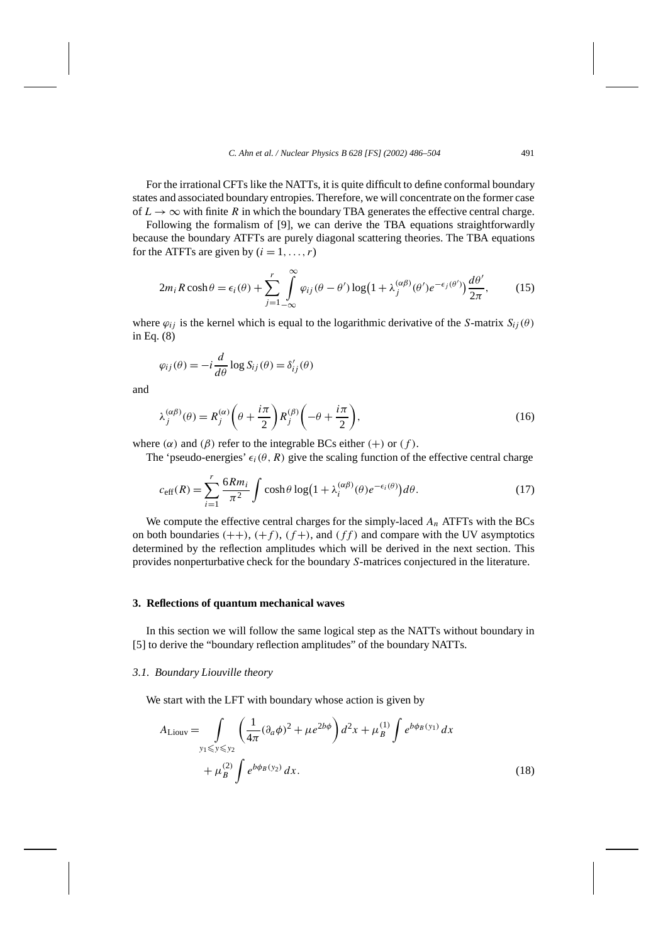For the irrational CFTs like the NATTs, it is quite difficult to define conformal boundary states and associated boundary entropies. Therefore, we will concentrate on the former case of  $L \to \infty$  with finite R in which the boundary TBA generates the effective central charge.

Following the formalism of [9], we can derive the TBA equations straightforwardly because the boundary ATFTs are purely diagonal scattering theories. The TBA equations for the ATFTs are given by  $(i = 1, ..., r)$ 

$$
2m_i R \cosh \theta = \epsilon_i(\theta) + \sum_{j=1}^r \int_{-\infty}^{\infty} \varphi_{ij}(\theta - \theta') \log(1 + \lambda_j^{(\alpha \beta)}(\theta') e^{-\epsilon_j(\theta')} ) \frac{d\theta'}{2\pi},
$$
(15)

where  $\varphi_{ij}$  is the kernel which is equal to the logarithmic derivative of the *S*-matrix  $S_{ij}(\theta)$ in Eq. (8)

$$
\varphi_{ij}(\theta) = -i \frac{d}{d\theta} \log S_{ij}(\theta) = \delta'_{ij}(\theta)
$$

and

$$
\lambda_j^{(\alpha\beta)}(\theta) = R_j^{(\alpha)}\left(\theta + \frac{i\pi}{2}\right)R_j^{(\beta)}\left(-\theta + \frac{i\pi}{2}\right),\tag{16}
$$

where  $(\alpha)$  and  $(\beta)$  refer to the integrable BCs either  $(+)$  or  $(f)$ .

The 'pseudo-energies'  $\epsilon_i(\theta, R)$  give the scaling function of the effective central charge

$$
c_{\text{eff}}(R) = \sum_{i=1}^{r} \frac{6Rm_i}{\pi^2} \int \cosh\theta \log\left(1 + \lambda_i^{(\alpha\beta)}(\theta)e^{-\epsilon_i(\theta)}\right) d\theta. \tag{17}
$$

We compute the effective central charges for the simply-laced *An* ATFTs with the BCs on both boundaries  $(++), (+f), (f+),$  and  $(ff)$  and compare with the UV asymptotics determined by the reflection amplitudes which will be derived in the next section. This provides nonperturbative check for the boundary *S*-matrices conjectured in the literature.

# **3. Reflections of quantum mechanical waves**

In this section we will follow the same logical step as the NATTs without boundary in [5] to derive the "boundary reflection amplitudes" of the boundary NATTs.

# *3.1. Boundary Liouville theory*

We start with the LFT with boundary whose action is given by

$$
A_{\text{Liouv}} = \int_{y_1 \leq y \leq y_2} \left( \frac{1}{4\pi} (\partial_a \phi)^2 + \mu e^{2b\phi} \right) d^2 x + \mu_B^{(1)} \int e^{b\phi_B(y_1)} dx + \mu_B^{(2)} \int e^{b\phi_B(y_2)} dx.
$$
 (18)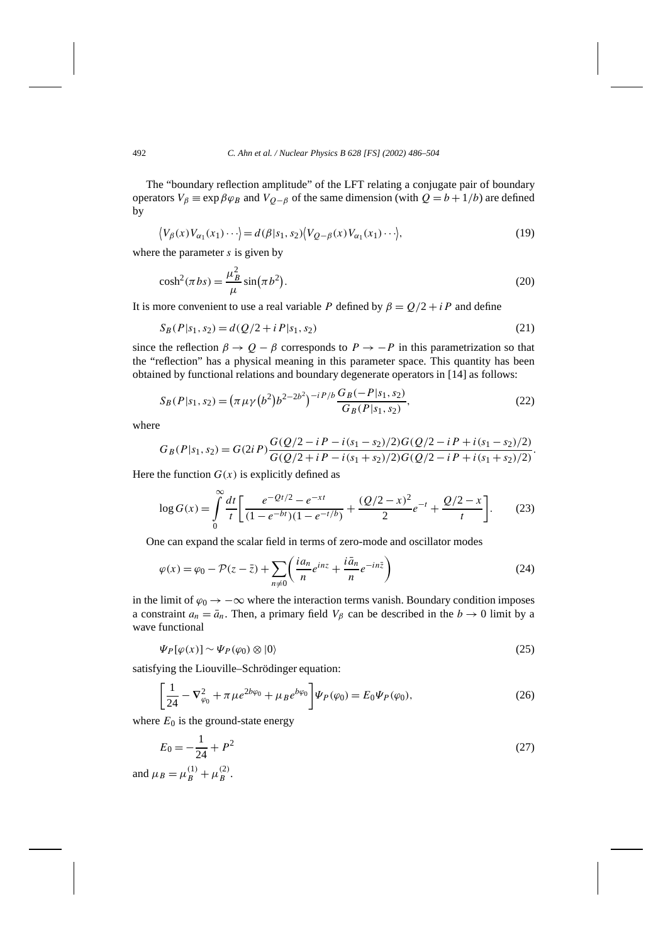The "boundary reflection amplitude" of the LFT relating a conjugate pair of boundary operators  $V_\beta \equiv \exp \beta \varphi_B$  and  $V_{Q-\beta}$  of the same dimension (with  $Q = b + 1/b$ ) are defined by

$$
\langle V_{\beta}(x)V_{\alpha_1}(x_1)\cdots\rangle = d(\beta|s_1,s_2)\langle V_{Q-\beta}(x)V_{\alpha_1}(x_1)\cdots\rangle,
$$
\n(19)

where the parameter *s* is given by

$$
\cosh^2(\pi bs) = \frac{\mu_B^2}{\mu} \sin(\pi b^2). \tag{20}
$$

It is more convenient to use a real variable *P* defined by  $\beta = Q/2 + iP$  and define

$$
S_B(P|s_1, s_2) = d(Q/2 + i P|s_1, s_2)
$$
\n(21)

since the reflection  $\beta \to Q - \beta$  corresponds to  $P \to -P$  in this parametrization so that the "reflection" has a physical meaning in this parameter space. This quantity has been obtained by functional relations and boundary degenerate operators in [14] as follows:

$$
S_B(P|s_1, s_2) = \left(\pi \mu \gamma \left(b^2\right) b^{2-2b^2}\right)^{-i P/b} \frac{G_B(-P|s_1, s_2)}{G_B(P|s_1, s_2)},\tag{22}
$$

where

$$
G_B(P|s_1, s_2) = G(2iP)\frac{G(Q/2 - iP - i(s_1 - s_2)/2)G(Q/2 - iP + i(s_1 - s_2)/2)}{G(Q/2 + iP - i(s_1 + s_2)/2)G(Q/2 - iP + i(s_1 + s_2)/2)}.
$$

Here the function  $G(x)$  is explicitly defined as

$$
\log G(x) = \int_{0}^{\infty} \frac{dt}{t} \left[ \frac{e^{-Qt/2} - e^{-xt}}{(1 - e^{-bt})(1 - e^{-t/b})} + \frac{(Q/2 - x)^2}{2} e^{-t} + \frac{Q/2 - x}{t} \right].
$$
 (23)

One can expand the scalar field in terms of zero-mode and oscillator modes

$$
\varphi(x) = \varphi_0 - \mathcal{P}(z - \bar{z}) + \sum_{n \neq 0} \left( \frac{i a_n}{n} e^{i n z} + \frac{i \bar{a}_n}{n} e^{-i n \bar{z}} \right)
$$
(24)

in the limit of  $\varphi_0 \to -\infty$  where the interaction terms vanish. Boundary condition imposes a constraint  $a_n = \bar{a}_n$ . Then, a primary field  $V_\beta$  can be described in the  $b \to 0$  limit by a wave functional

$$
\Psi_P[\varphi(x)] \sim \Psi_P(\varphi_0) \otimes |0\rangle \tag{25}
$$

satisfying the Liouville–Schrödinger equation:

$$
\left[\frac{1}{24} - \nabla_{\varphi_0}^2 + \pi \mu e^{2b\varphi_0} + \mu_B e^{b\varphi_0}\right] \Psi_P(\varphi_0) = E_0 \Psi_P(\varphi_0),\tag{26}
$$

where  $E_0$  is the ground-state energy

$$
E_0 = -\frac{1}{24} + P^2 \tag{27}
$$

and  $\mu_B = \mu_B^{(1)} + \mu_B^{(2)}$ .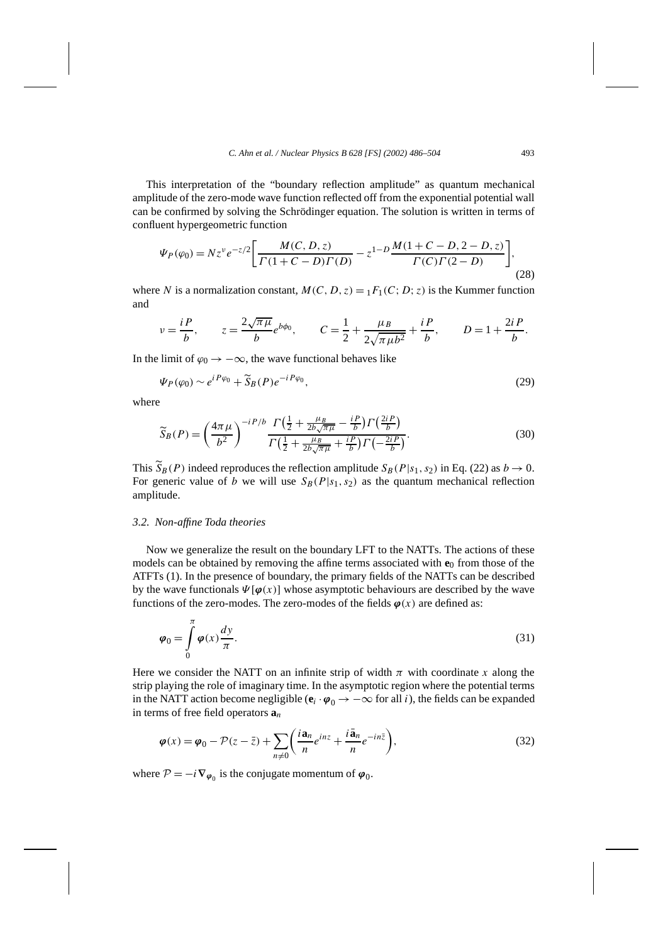This interpretation of the "boundary reflection amplitude" as quantum mechanical amplitude of the zero-mode wave function reflected off from the exponential potential wall can be confirmed by solving the Schrödinger equation. The solution is written in terms of confluent hypergeometric function

$$
\Psi_P(\varphi_0) = N z^{\nu} e^{-z/2} \bigg[ \frac{M(C, D, z)}{\Gamma(1 + C - D)\Gamma(D)} - z^{1 - D} \frac{M(1 + C - D, 2 - D, z)}{\Gamma(C)\Gamma(2 - D)} \bigg], \tag{28}
$$

where *N* is a normalization constant,  $M(C, D, z) = 1F_1(C, D, z)$  is the Kummer function and

$$
v = \frac{iP}{b}
$$
,  $z = \frac{2\sqrt{\pi\mu}}{b}e^{b\phi_0}$ ,  $C = \frac{1}{2} + \frac{\mu_B}{2\sqrt{\pi\mu b^2}} + \frac{iP}{b}$ ,  $D = 1 + \frac{2iP}{b}$ .

In the limit of  $\varphi_0 \to -\infty$ , the wave functional behaves like

$$
\Psi_P(\varphi_0) \sim e^{iP\varphi_0} + \widetilde{S}_B(P)e^{-iP\varphi_0},\tag{29}
$$

where

$$
\widetilde{S}_B(P) = \left(\frac{4\pi\mu}{b^2}\right)^{-iP/b} \frac{\Gamma\left(\frac{1}{2} + \frac{\mu_B}{2b\sqrt{\pi\mu}} - \frac{iP}{b}\right)\Gamma\left(\frac{2iP}{b}\right)}{\Gamma\left(\frac{1}{2} + \frac{\mu_B}{2b\sqrt{\pi\mu}} + \frac{iP}{b}\right)\Gamma\left(-\frac{2iP}{b}\right)}.
$$
\n(30)

This  $\widetilde{S}_B(P)$  indeed reproduces the reflection amplitude  $S_B(P|S_1, S_2)$  in Eq. (22) as  $b \to 0$ . For generic value of *b* we will use  $S_B(P|S_1, S_2)$  as the quantum mechanical reflection amplitude.

# *3.2. Non-affine Toda theories*

Now we generalize the result on the boundary LFT to the NATTs. The actions of these models can be obtained by removing the affine terms associated with  $e_0$  from those of the ATFTs (1). In the presence of boundary, the primary fields of the NATTs can be described by the wave functionals  $\Psi[\varphi(x)]$  whose asymptotic behaviours are described by the wave functions of the zero-modes. The zero-modes of the fields  $\varphi(x)$  are defined as:

$$
\varphi_0 = \int_0^\pi \varphi(x) \frac{dy}{\pi}.
$$
\n(31)

Here we consider the NATT on an infinite strip of width  $\pi$  with coordinate x along the strip playing the role of imaginary time. In the asymptotic region where the potential terms in the NATT action become negligible  $(\mathbf{e}_i \cdot \boldsymbol{\varphi}_0 \to -\infty$  for all *i*), the fields can be expanded in terms of free field operators **a***<sup>n</sup>*

$$
\varphi(x) = \varphi_0 - \mathcal{P}(z - \bar{z}) + \sum_{n \neq 0} \left( \frac{i \mathbf{a}_n}{n} e^{i n z} + \frac{i \bar{\mathbf{a}}_n}{n} e^{-i n \bar{z}} \right),\tag{32}
$$

where  $\mathcal{P} = -i \nabla_{\varphi_0}$  is the conjugate momentum of  $\varphi_0$ .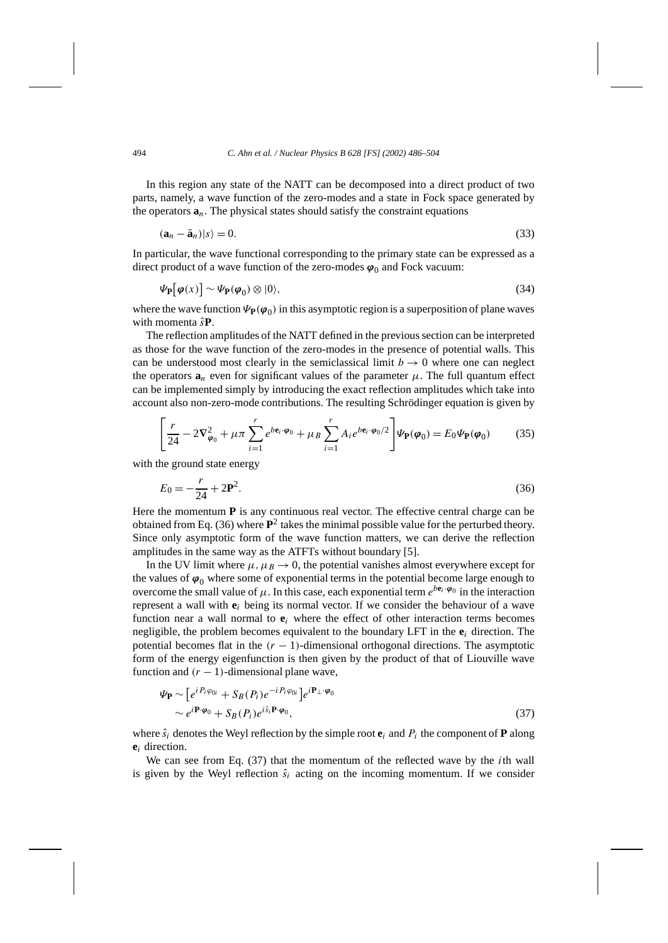In this region any state of the NATT can be decomposed into a direct product of two parts, namely, a wave function of the zero-modes and a state in Fock space generated by the operators  $\mathbf{a}_n$ . The physical states should satisfy the constraint equations

$$
(\mathbf{a}_n - \bar{\mathbf{a}}_n)|s\rangle = 0. \tag{33}
$$

In particular, the wave functional corresponding to the primary state can be expressed as a direct product of a wave function of the zero-modes  $\varphi_0$  and Fock vacuum:

$$
\Psi_{\mathbf{P}}[\varphi(x)] \sim \Psi_{\mathbf{P}}(\varphi_0) \otimes |0\rangle, \tag{34}
$$

where the wave function  $\Psi_{\mathbf{P}}(\varphi_0)$  in this asymptotic region is a superposition of plane waves with momenta *s*ˆ**P**.

The reflection amplitudes of the NATT defined in the previous section can be interpreted as those for the wave function of the zero-modes in the presence of potential walls. This can be understood most clearly in the semiclassical limit  $b \rightarrow 0$  where one can neglect the operators  $\mathbf{a}_n$  even for significant values of the parameter  $\mu$ . The full quantum effect can be implemented simply by introducing the exact reflection amplitudes which take into account also non-zero-mode contributions. The resulting Schrödinger equation is given by

$$
\left[\frac{r}{24} - 2\mathbf{\nabla}_{\boldsymbol{\varphi}_0}^2 + \mu \pi \sum_{i=1}^r e^{b\mathbf{e}_i \cdot \boldsymbol{\varphi}_0} + \mu \sum_{i=1}^r A_i e^{b\mathbf{e}_i \cdot \boldsymbol{\varphi}_0/2}\right] \Psi_{\mathbf{P}}(\boldsymbol{\varphi}_0) = E_0 \Psi_{\mathbf{P}}(\boldsymbol{\varphi}_0)
$$
(35)

with the ground state energy

$$
E_0 = -\frac{r}{24} + 2\mathbf{P}^2. \tag{36}
$$

Here the momentum  $P$  is any continuous real vector. The effective central charge can be obtained from Eq. (36) where **P**<sup>2</sup> takes the minimal possible value for the perturbed theory. Since only asymptotic form of the wave function matters, we can derive the reflection amplitudes in the same way as the ATFTs without boundary [5].

In the UV limit where  $\mu$ ,  $\mu$ <sub>B</sub>  $\rightarrow$  0, the potential vanishes almost everywhere except for the values of  $\varphi_0$  where some of exponential terms in the potential become large enough to overcome the small value of  $\mu$ . In this case, each exponential term  $e^{b\mathbf{e}_i \cdot \mathbf{\varphi}_0}$  in the interaction represent a wall with **e***<sup>i</sup>* being its normal vector. If we consider the behaviour of a wave function near a wall normal to  $e_i$  where the effect of other interaction terms becomes negligible, the problem becomes equivalent to the boundary LFT in the **e***<sup>i</sup>* direction. The potential becomes flat in the  $(r - 1)$ -dimensional orthogonal directions. The asymptotic form of the energy eigenfunction is then given by the product of that of Liouville wave function and  $(r - 1)$ -dimensional plane wave,

$$
\Psi_{\mathbf{P}} \sim \left[ e^{i P_i \varphi_{0i}} + S_B(P_i) e^{-i P_i \varphi_{0i}} \right] e^{i \mathbf{P}_{\perp} \cdot \varphi_0} \sim e^{i \mathbf{P} \cdot \varphi_0} + S_B(P_i) e^{i \hat{s}_i \mathbf{P} \cdot \varphi_0},
$$
\n(37)

where  $\hat{s}_i$  denotes the Weyl reflection by the simple root  $e_i$  and  $P_i$  the component of **P** along **e***<sup>i</sup>* direction.

We can see from Eq. (37) that the momentum of the reflected wave by the *i*th wall is given by the Weyl reflection  $\hat{s}_i$  acting on the incoming momentum. If we consider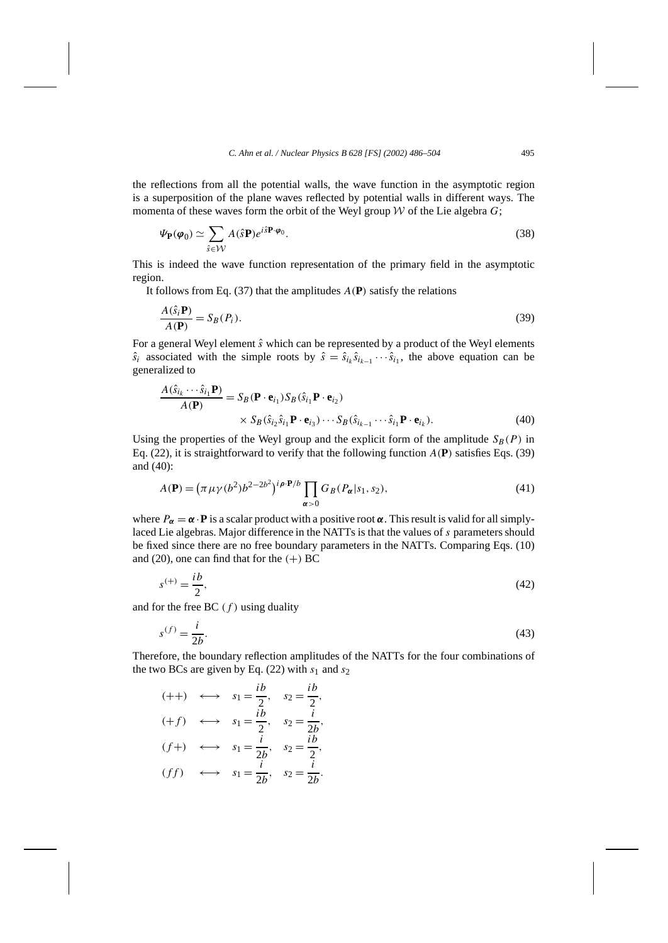the reflections from all the potential walls, the wave function in the asymptotic region is a superposition of the plane waves reflected by potential walls in different ways. The momenta of these waves form the orbit of the Weyl group  $W$  of the Lie algebra  $G$ ;

$$
\Psi_{\mathbf{P}}(\varphi_0) \simeq \sum_{\hat{s} \in \mathcal{W}} A(\hat{s} \mathbf{P}) e^{i\hat{s} \mathbf{P} \cdot \varphi_0}.
$$
\n(38)

This is indeed the wave function representation of the primary field in the asymptotic region.

It follows from Eq. (37) that the amplitudes  $A(\mathbf{P})$  satisfy the relations

$$
\frac{A(\hat{s}_i \mathbf{P})}{A(\mathbf{P})} = S_B(P_i). \tag{39}
$$

For a general Weyl element *s*ˆ which can be represented by a product of the Weyl elements  $\hat{s}_i$  associated with the simple roots by  $\hat{s} = \hat{s}_{i_k}\hat{s}_{i_{k-1}}\cdots\hat{s}_{i_1}$ , the above equation can be generalized to

$$
\frac{A(\hat{s}_{i_k}\cdots\hat{s}_{i_1}\mathbf{P})}{A(\mathbf{P})} = S_B(\mathbf{P}\cdot\mathbf{e}_{i_1})S_B(\hat{s}_{i_1}\mathbf{P}\cdot\mathbf{e}_{i_2})\n\times S_B(\hat{s}_{i_2}\hat{s}_{i_1}\mathbf{P}\cdot\mathbf{e}_{i_3})\cdots S_B(\hat{s}_{i_{k-1}}\cdots\hat{s}_{i_1}\mathbf{P}\cdot\mathbf{e}_{i_k}).
$$
\n(40)

Using the properties of the Weyl group and the explicit form of the amplitude  $S_B(P)$  in Eq. (22), it is straightforward to verify that the following function *A(***P***)* satisfies Eqs. (39) and (40):

$$
A(\mathbf{P}) = \left(\pi \mu \gamma (b^2) b^{2-2b^2}\right)^{i\rho \cdot \mathbf{P}/b} \prod_{\alpha > 0} G_B(P_\alpha | s_1, s_2),\tag{41}
$$

where  $P_\alpha = \alpha \cdot P$  is a scalar product with a positive root  $\alpha$ . This result is valid for all simplylaced Lie algebras. Major difference in the NATTs is that the values of *s* parameters should be fixed since there are no free boundary parameters in the NATTs. Comparing Eqs. (10) and  $(20)$ , one can find that for the  $(+)$  BC

$$
s^{(+)} = \frac{ib}{2},\tag{42}
$$

and for the free BC  $(f)$  using duality

$$
s^{(f)} = \frac{i}{2b}.\tag{43}
$$

Therefore, the boundary reflection amplitudes of the NATTs for the four combinations of the two BCs are given by Eq.  $(22)$  with  $s_1$  and  $s_2$ 

$$
\begin{aligned}\n &\text{(++)} \quad \longleftrightarrow \quad s_1 = \frac{ib}{2}, \quad s_2 = \frac{ib}{2}, \\
&\text{(+)} \quad \longleftrightarrow \quad s_1 = \frac{ib}{2}, \quad s_2 = \frac{i}{2b}, \\
&\text{(f+)} \quad \longleftrightarrow \quad s_1 = \frac{i}{2b}, \quad s_2 = \frac{ib}{2}, \\
&\text{(f)} \quad \longleftrightarrow \quad s_1 = \frac{i}{2b}, \quad s_2 = \frac{i}{2b}.\n \end{aligned}
$$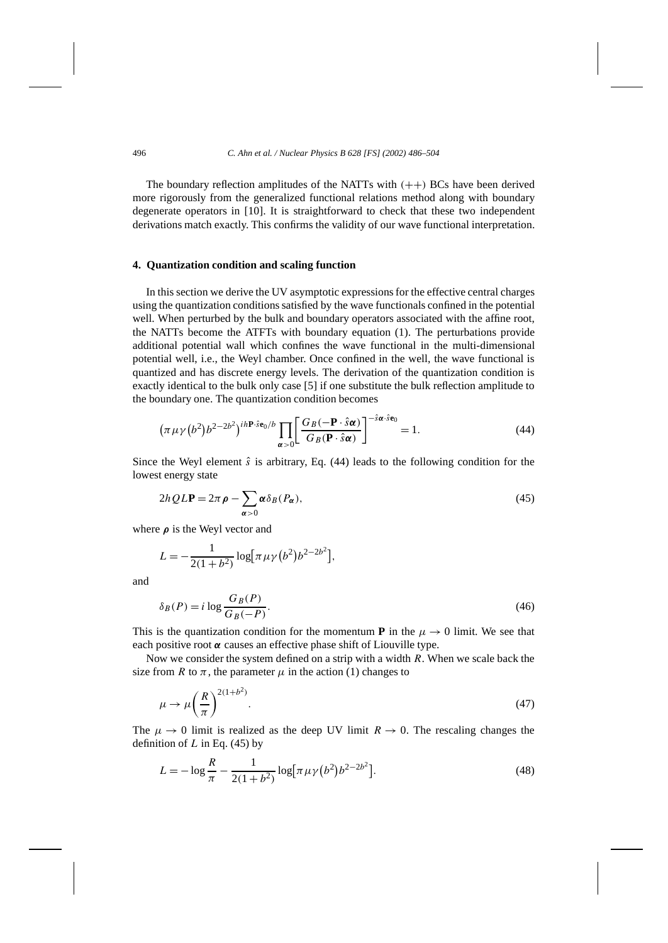The boundary reflection amplitudes of the NATTs with *(*++*)* BCs have been derived more rigorously from the generalized functional relations method along with boundary degenerate operators in [10]. It is straightforward to check that these two independent derivations match exactly. This confirms the validity of our wave functional interpretation.

#### **4. Quantization condition and scaling function**

In this section we derive the UV asymptotic expressions for the effective central charges using the quantization conditions satisfied by the wave functionals confined in the potential well. When perturbed by the bulk and boundary operators associated with the affine root, the NATTs become the ATFTs with boundary equation (1). The perturbations provide additional potential wall which confines the wave functional in the multi-dimensional potential well, i.e., the Weyl chamber. Once confined in the well, the wave functional is quantized and has discrete energy levels. The derivation of the quantization condition is exactly identical to the bulk only case [5] if one substitute the bulk reflection amplitude to the boundary one. The quantization condition becomes

$$
\left(\pi\,\mu\gamma\,(b^2)b^{2-2b^2}\right)^{ih\mathbf{P}\cdot\hat{\mathbf{s}}\mathbf{e}_0/b}\prod_{\alpha>0}\left[\frac{G_B(-\mathbf{P}\cdot\hat{\mathbf{s}}\alpha)}{G_B(\mathbf{P}\cdot\hat{\mathbf{s}}\alpha)}\right]^{-\hat{\mathbf{s}}\alpha\cdot\hat{\mathbf{s}}\mathbf{e}_0}=1.\tag{44}
$$

Since the Weyl element  $\hat{s}$  is arbitrary, Eq. (44) leads to the following condition for the lowest energy state

$$
2hQLP = 2\pi \rho - \sum_{\alpha > 0} \alpha \delta_B(P_\alpha),\tag{45}
$$

where *ρ* is the Weyl vector and

$$
L = -\frac{1}{2(1+b^2)} \log[\pi \mu \gamma (b^2) b^{2-2b^2}],
$$

and

$$
\delta_B(P) = i \log \frac{G_B(P)}{G_B(-P)}.\tag{46}
$$

This is the quantization condition for the momentum **P** in the  $\mu \rightarrow 0$  limit. We see that each positive root *α* causes an effective phase shift of Liouville type.

Now we consider the system defined on a strip with a width *R*. When we scale back the size from *R* to  $\pi$ , the parameter  $\mu$  in the action (1) changes to

$$
\mu \to \mu \left(\frac{R}{\pi}\right)^{2(1+b^2)}.\tag{47}
$$

The  $\mu \rightarrow 0$  limit is realized as the deep UV limit  $R \rightarrow 0$ . The rescaling changes the definition of *L* in Eq. (45) by

$$
L = -\log\frac{R}{\pi} - \frac{1}{2(1+b^2)}\log[\pi\,\mu\,\gamma\,(b^2)b^{2-2b^2}].\tag{48}
$$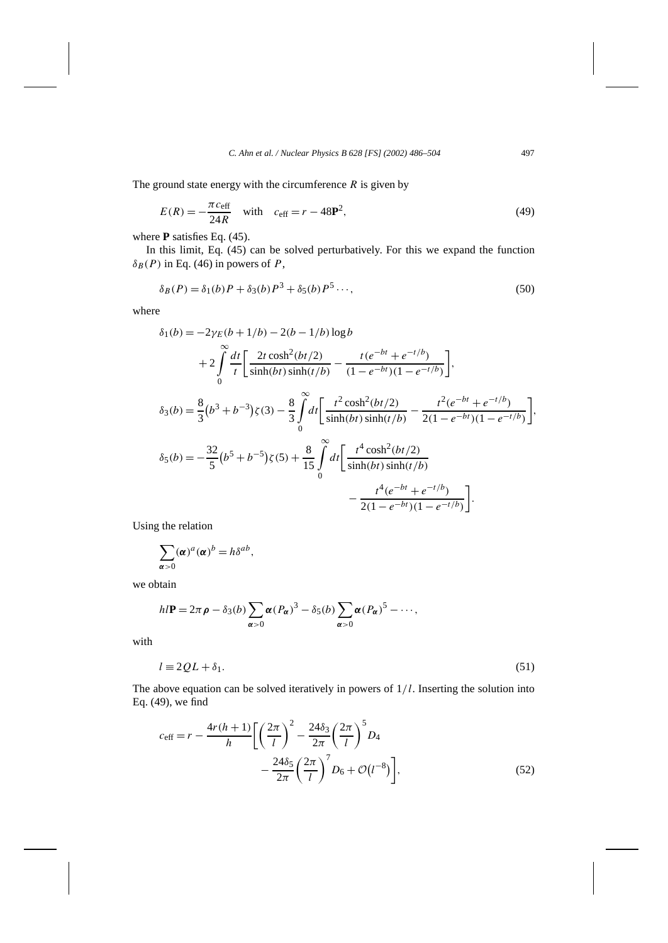The ground state energy with the circumference *R* is given by

$$
E(R) = -\frac{\pi c_{\text{eff}}}{24R} \quad \text{with} \quad c_{\text{eff}} = r - 48\mathbf{P}^2,\tag{49}
$$

where **P** satisfies Eq. (45).

In this limit, Eq. (45) can be solved perturbatively. For this we expand the function  $\delta_B(P)$  in Eq. (46) in powers of *P*,

$$
\delta_B(P) = \delta_1(b)P + \delta_3(b)P^3 + \delta_5(b)P^5 \cdots,
$$
\n<sup>(50)</sup>

where

$$
\delta_1(b) = -2\gamma_E(b+1/b) - 2(b-1/b)\log b \n+ 2\int_0^\infty \frac{dt}{t} \left[ \frac{2t\cosh^2(bt/2)}{\sinh(bt)\sinh(t/b)} - \frac{t(e^{-bt} + e^{-t/b})}{(1 - e^{-bt})(1 - e^{-t/b})} \right],
$$
\n
$$
\delta_3(b) = \frac{8}{3}(b^3 + b^{-3})\zeta(3) - \frac{8}{3}\int_0^\infty dt \left[ \frac{t^2\cosh^2(bt/2)}{\sinh(bt)\sinh(t/b)} - \frac{t^2(e^{-bt} + e^{-t/b})}{2(1 - e^{-bt})(1 - e^{-t/b})} \right],
$$
\n
$$
\delta_5(b) = -\frac{32}{5}(b^5 + b^{-5})\zeta(5) + \frac{8}{15}\int_0^\infty dt \left[ \frac{t^4\cosh^2(bt/2)}{\sinh(bt)\sinh(t/b)} - \frac{t^4(e^{-bt} + e^{-t/b})}{2(1 - e^{-bt})(1 - e^{-t/b})} \right].
$$

Using the relation

$$
\sum_{\alpha>0}(\alpha)^a(\alpha)^b=h\delta^{ab},
$$

we obtain

$$
h\mathbf{IP} = 2\pi \rho - \delta_3(b) \sum_{\alpha > 0} \alpha(P_\alpha)^3 - \delta_5(b) \sum_{\alpha > 0} \alpha(P_\alpha)^5 - \cdots,
$$

with

$$
l \equiv 2QL + \delta_1. \tag{51}
$$

The above equation can be solved iteratively in powers of 1*/l*. Inserting the solution into Eq. (49), we find

$$
c_{\text{eff}} = r - \frac{4r(h+1)}{h} \left[ \left( \frac{2\pi}{l} \right)^2 - \frac{24\delta_3}{2\pi} \left( \frac{2\pi}{l} \right)^5 D_4 - \frac{24\delta_5}{2\pi} \left( \frac{2\pi}{l} \right)^7 D_6 + \mathcal{O}(l^{-8}) \right],\tag{52}
$$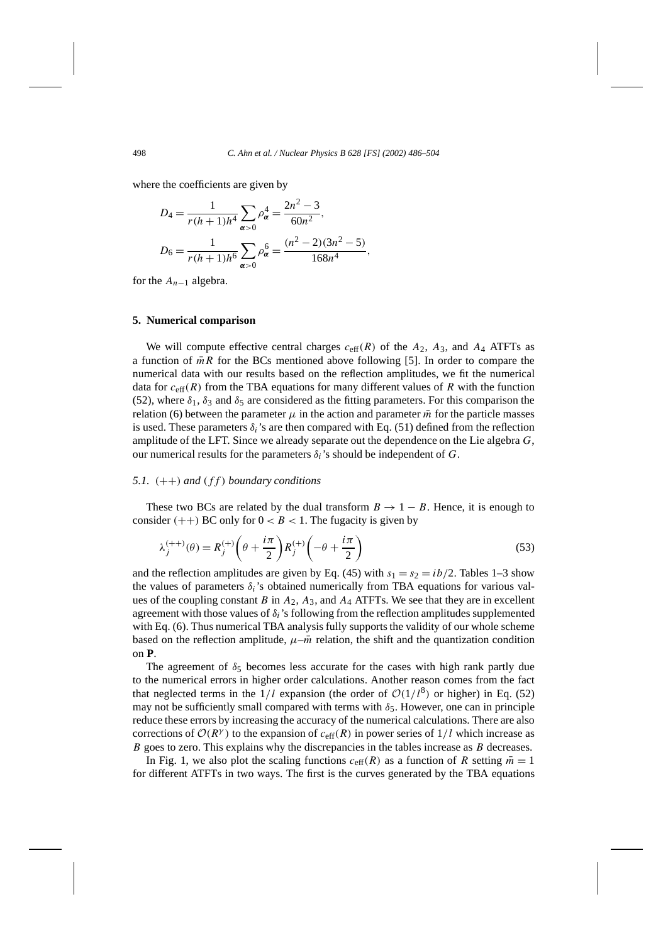where the coefficients are given by

$$
D_4 = \frac{1}{r(h+1)h^4} \sum_{\alpha>0} \rho_\alpha^4 = \frac{2n^2 - 3}{60n^2},
$$
  

$$
D_6 = \frac{1}{r(h+1)h^6} \sum_{\alpha>0} \rho_\alpha^6 = \frac{(n^2 - 2)(3n^2 - 5)}{168n^4},
$$

for the  $A_{n-1}$  algebra.

#### **5. Numerical comparison**

We will compute effective central charges  $c_{\text{eff}}(R)$  of the  $A_2$ ,  $A_3$ , and  $A_4$  ATFTs as a function of  $\bar{m}R$  for the BCs mentioned above following [5]. In order to compare the numerical data with our results based on the reflection amplitudes, we fit the numerical data for  $c_{\text{eff}}(R)$  from the TBA equations for many different values of  $R$  with the function (52), where  $\delta_1$ ,  $\delta_3$  and  $\delta_5$  are considered as the fitting parameters. For this comparison the relation (6) between the parameter  $\mu$  in the action and parameter  $\bar{m}$  for the particle masses is used. These parameters  $\delta_i$ 's are then compared with Eq. (51) defined from the reflection amplitude of the LFT. Since we already separate out the dependence on the Lie algebra *G*, our numerical results for the parameters  $\delta_i$ 's should be independent of *G*.

# *5.1. (*++*) and (ff ) boundary conditions*

These two BCs are related by the dual transform  $B \to 1 - B$ . Hence, it is enough to consider  $(++)$  BC only for  $0 < B < 1$ . The fugacity is given by

$$
\lambda_j^{(++)}(\theta) = R_j^{(+)}\left(\theta + \frac{i\pi}{2}\right)R_j^{(+)}\left(-\theta + \frac{i\pi}{2}\right) \tag{53}
$$

and the reflection amplitudes are given by Eq. (45) with  $s_1 = s_2 = ib/2$ . Tables 1–3 show the values of parameters  $\delta_i$ 's obtained numerically from TBA equations for various values of the coupling constant *B* in  $A_2$ ,  $A_3$ , and  $A_4$  ATFTs. We see that they are in excellent agreement with those values of *δi*'s following from the reflection amplitudes supplemented with Eq. (6). Thus numerical TBA analysis fully supports the validity of our whole scheme based on the reflection amplitude,  $\mu$ – $\bar{m}$  relation, the shift and the quantization condition on **P**.

The agreement of  $\delta_5$  becomes less accurate for the cases with high rank partly due to the numerical errors in higher order calculations. Another reason comes from the fact that neglected terms in the  $1/l$  expansion (the order of  $O(1/l^8)$ ) or higher) in Eq. (52) may not be sufficiently small compared with terms with  $\delta_5$ . However, one can in principle reduce these errors by increasing the accuracy of the numerical calculations. There are also corrections of  $\mathcal{O}(R^{\gamma})$  to the expansion of  $c_{\text{eff}}(R)$  in power series of  $1/l$  which increase as *B* goes to zero. This explains why the discrepancies in the tables increase as *B* decreases.

In Fig. 1, we also plot the scaling functions  $c_{\text{eff}}(R)$  as a function of *R* setting  $\bar{m} = 1$ for different ATFTs in two ways. The first is the curves generated by the TBA equations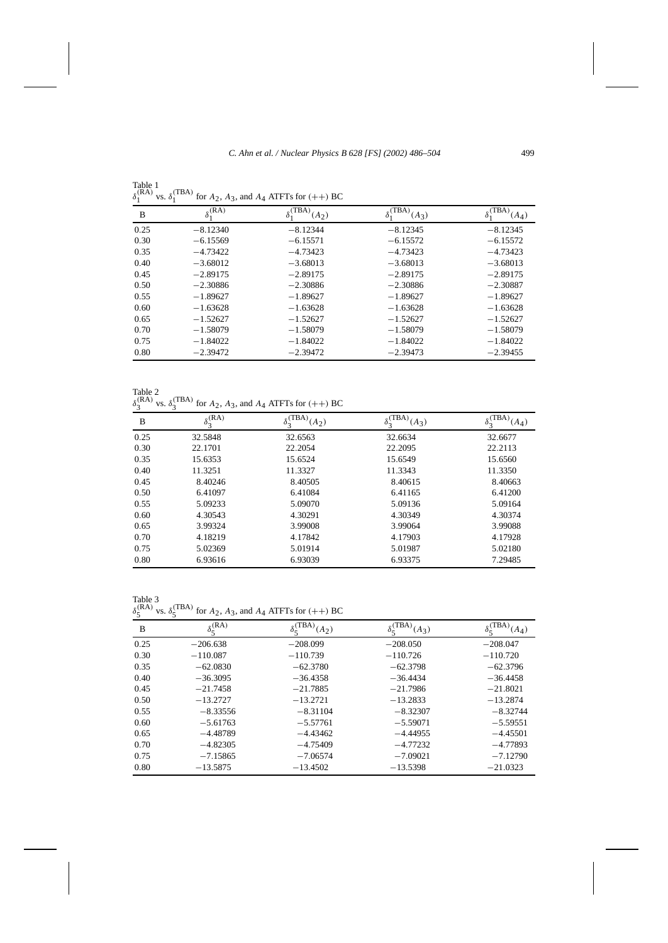|      | $\sim$ $\sim$<br>$\cdots$ |                          |                          |                          |
|------|---------------------------|--------------------------|--------------------------|--------------------------|
| B    | $\delta_1^{(RA)}$         | $\sqrt{\text{TBA}}(A_2)$ | $\sqrt{\text{TBA}}(A_3)$ | $\sqrt{\text{TBA}}(A_4)$ |
| 0.25 | $-8.12340$                | $-8.12344$               | $-8.12345$               | $-8.12345$               |
| 0.30 | $-6.15569$                | $-6.15571$               | $-6.15572$               | $-6.15572$               |
| 0.35 | $-4.73422$                | $-4.73423$               | $-4.73423$               | $-4.73423$               |
| 0.40 | $-3.68012$                | $-3.68013$               | $-3.68013$               | $-3.68013$               |
| 0.45 | $-2.89175$                | $-2.89175$               | $-2.89175$               | $-2.89175$               |
| 0.50 | $-2.30886$                | $-2.30886$               | $-2.30886$               | $-2.30887$               |
| 0.55 | $-1.89627$                | $-1.89627$               | $-1.89627$               | $-1.89627$               |
| 0.60 | $-1.63628$                | $-1.63628$               | $-1.63628$               | $-1.63628$               |
| 0.65 | $-1.52627$                | $-1.52627$               | $-1.52627$               | $-1.52627$               |
| 0.70 | $-1.58079$                | $-1.58079$               | $-1.58079$               | $-1.58079$               |
| 0.75 | $-1.84022$                | $-1.84022$               | $-1.84022$               | $-1.84022$               |
| 0.80 | $-2.39472$                | $-2.39472$               | $-2.39473$               | $-2.39455$               |

Table 1  $\delta_1^{(RA)}$  vs.  $\delta_1^{(TBA)}$  for  $A_2$ ,  $A_3$ , and  $A_4$  ATFTs for (++) BC

Table 2  $\delta_3^{\text{(RA)}}$  vs.  $\delta_3^{\text{(TBA)}}$  for  $A_2$ ,  $A_3$ , and  $A_4$  ATFTs for (++) BC

| B    | $\delta_3^{(RA)}$ | $\sqrt{\text{TBA}}(A_2)$<br>$\delta_{\alpha}$ | (TBA)<br>$(A_3)$<br>$0\lambda$ | $_{e}$ (TBA)<br>$(A_4)$ |
|------|-------------------|-----------------------------------------------|--------------------------------|-------------------------|
| 0.25 | 32.5848           | 32.6563                                       | 32.6634                        | 32.6677                 |
| 0.30 | 22.1701           | 22.2054                                       | 22.2095                        | 22.2113                 |
| 0.35 | 15.6353           | 15.6524                                       | 15.6549                        | 15.6560                 |
| 0.40 | 11.3251           | 11.3327                                       | 11.3343                        | 11.3350                 |
| 0.45 | 8.40246           | 8.40505                                       | 8.40615                        | 8.40663                 |
| 0.50 | 6.41097           | 6.41084                                       | 6.41165                        | 6.41200                 |
| 0.55 | 5.09233           | 5.09070                                       | 5.09136                        | 5.09164                 |
| 0.60 | 4.30543           | 4.30291                                       | 4.30349                        | 4.30374                 |
| 0.65 | 3.99324           | 3.99008                                       | 3.99064                        | 3.99088                 |
| 0.70 | 4.18219           | 4.17842                                       | 4.17903                        | 4.17928                 |
| 0.75 | 5.02369           | 5.01914                                       | 5.01987                        | 5.02180                 |
| 0.80 | 6.93616           | 6.93039                                       | 6.93375                        | 7.29485                 |

Table 3  $\delta_5^{\text{(RA)}}$  vs.  $\delta_5^{\text{(TBA)}}$  for  $A_2$ ,  $A_3$ , and  $A_4$  ATFTs for (++) BC

| B    | $\delta_5^{(RA)}$ | $\sqrt{\text{TBA}}(A_2)$ | $\sqrt{\text{TBA}}(A_3)$ | $_{\circ}$ (TBA)<br>$(A_4)$<br>$\sigma_{\zeta}$ |
|------|-------------------|--------------------------|--------------------------|-------------------------------------------------|
| 0.25 | $-206.638$        | $-208.099$               | $-208.050$               | $-208.047$                                      |
| 0.30 | $-110.087$        | $-110.739$               | $-110.726$               | $-110.720$                                      |
| 0.35 | $-62.0830$        | $-62.3780$               | $-62.3798$               | $-62.3796$                                      |
| 0.40 | $-36.3095$        | $-36.4358$               | $-36.4434$               | $-36.4458$                                      |
| 0.45 | $-21.7458$        | $-21.7885$               | $-21.7986$               | $-21.8021$                                      |
| 0.50 | $-13.2727$        | $-13.2721$               | $-13.2833$               | $-13.2874$                                      |
| 0.55 | $-8.33556$        | $-8.31104$               | $-8.32307$               | $-8.32744$                                      |
| 0.60 | $-5.61763$        | $-5.57761$               | $-5.59071$               | $-5.59551$                                      |
| 0.65 | $-4.48789$        | $-4.43462$               | $-4.44955$               | $-4.45501$                                      |
| 0.70 | $-4.82305$        | $-4.75409$               | $-4.77232$               | $-4.77893$                                      |
| 0.75 | $-7.15865$        | $-7.06574$               | $-7.09021$               | $-7.12790$                                      |
| 0.80 | $-13.5875$        | $-13.4502$               | $-13.5398$               | $-21.0323$                                      |
|      |                   |                          |                          |                                                 |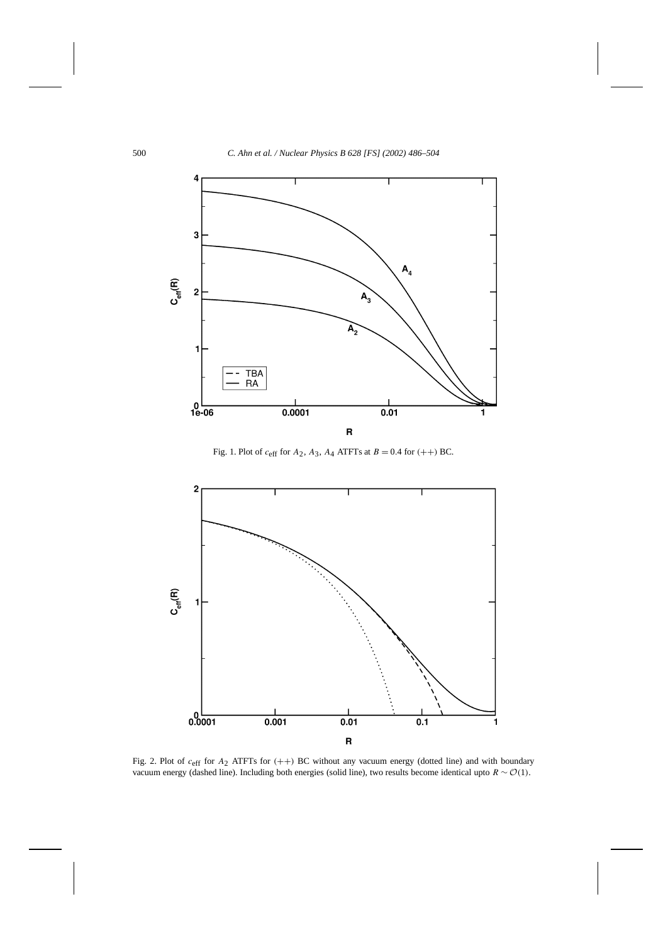

Fig. 1. Plot of *c*eff for *A*2, *A*3, *A*<sup>4</sup> ATFTs at *B* = 0*.*4 for *(*++*)* BC.



Fig. 2. Plot of *c*eff for *A*<sup>2</sup> ATFTs for *(*++*)* BC without any vacuum energy (dotted line) and with boundary vacuum energy (dashed line). Including both energies (solid line), two results become identical upto  $R ∼ O(1)$ .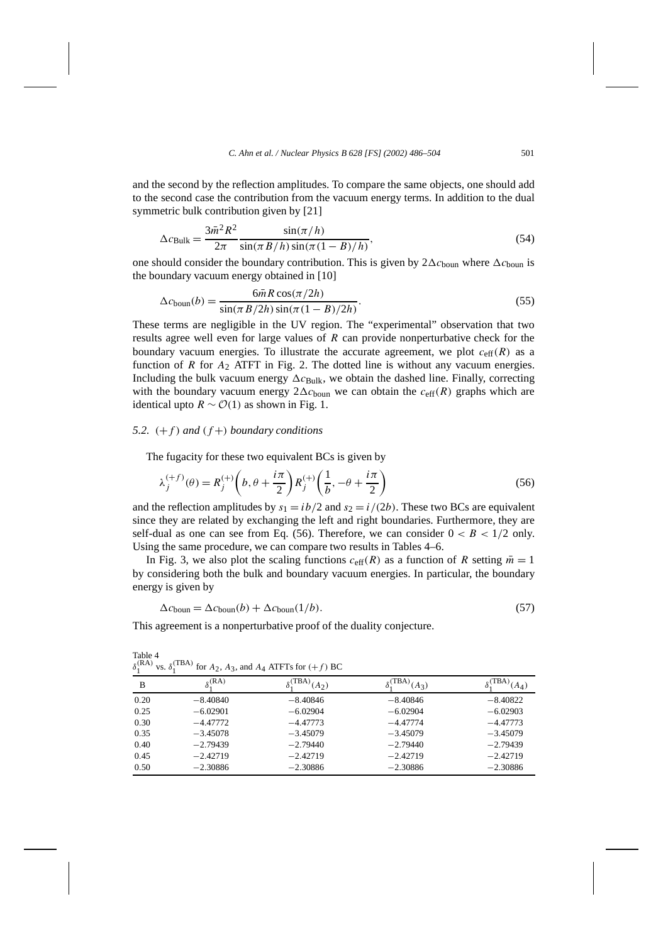and the second by the reflection amplitudes. To compare the same objects, one should add to the second case the contribution from the vacuum energy terms. In addition to the dual symmetric bulk contribution given by [21]

$$
\Delta c_{\text{Bulk}} = \frac{3\bar{m}^2 R^2}{2\pi} \frac{\sin(\pi/h)}{\sin(\pi B/h)\sin(\pi(1-B)/h)},\tag{54}
$$

one should consider the boundary contribution. This is given by  $2\Delta c_{\text{bound}}$  where  $\Delta c_{\text{bound}}$  is the boundary vacuum energy obtained in [10]

$$
\Delta c_{\text{boun}}(b) = \frac{6\bar{m}R\cos(\pi/2h)}{\sin(\pi B/2h)\sin(\pi(1-B)/2h)}.\tag{55}
$$

These terms are negligible in the UV region. The "experimental" observation that two results agree well even for large values of *R* can provide nonperturbative check for the boundary vacuum energies. To illustrate the accurate agreement, we plot  $c_{\text{eff}}(R)$  as a function of *R* for  $A_2$  ATFT in Fig. 2. The dotted line is without any vacuum energies. Including the bulk vacuum energy  $\Delta c_{\text{Bulk}}$ , we obtain the dashed line. Finally, correcting with the boundary vacuum energy  $2\Delta c_{\text{boun}}$  we can obtain the  $c_{\text{eff}}(R)$  graphs which are identical upto  $R \sim \mathcal{O}(1)$  as shown in Fig. 1.

# *5.2.*  $(+f)$  *and*  $(f+)$  *boundary conditions*

The fugacity for these two equivalent BCs is given by

$$
\lambda_j^{(+f)}(\theta) = R_j^{(+)} \left( b, \theta + \frac{i\pi}{2} \right) R_j^{(+)} \left( \frac{1}{b}, -\theta + \frac{i\pi}{2} \right)
$$
(56)

and the reflection amplitudes by  $s_1 = ib/2$  and  $s_2 = i/(2b)$ . These two BCs are equivalent since they are related by exchanging the left and right boundaries. Furthermore, they are self-dual as one can see from Eq. (56). Therefore, we can consider  $0 < B < 1/2$  only. Using the same procedure, we can compare two results in Tables 4–6.

In Fig. 3, we also plot the scaling functions  $c_{\text{eff}}(R)$  as a function of R setting  $\bar{m}=1$ by considering both the bulk and boundary vacuum energies. In particular, the boundary energy is given by

$$
\Delta c_{\text{boun}} = \Delta c_{\text{boun}}(b) + \Delta c_{\text{boun}}(1/b). \tag{57}
$$

This agreement is a nonperturbative proof of the duality conjecture.

| $\mathfrak{o}_1$<br>$VS.$ $O1$<br>for $A_2$ , $A_3$ , and $A_4$ AIFIS for $(+1)$ BU |                   |                          |                 |                  |  |
|-------------------------------------------------------------------------------------|-------------------|--------------------------|-----------------|------------------|--|
| B                                                                                   | $\delta_1^{(RA)}$ | $\sqrt{\text{TBA}}(A_2)$ | [BA)<br>$(A_3)$ | (TBA)<br>$(A_4)$ |  |
| 0.20                                                                                | $-8.40840$        | $-8.40846$               | $-8.40846$      | $-8.40822$       |  |
| 0.25                                                                                | $-6.02901$        | $-6.02904$               | $-6.02904$      | $-6.02903$       |  |
| 0.30                                                                                | $-4.47772$        | $-4.47773$               | $-4.47774$      | $-4.47773$       |  |
| 0.35                                                                                | $-3.45078$        | $-3.45079$               | $-3.45079$      | $-3.45079$       |  |
| 0.40                                                                                | $-2.79439$        | $-2.79440$               | $-2.79440$      | $-2.79439$       |  |
| 0.45                                                                                | $-2.42719$        | $-2.42719$               | $-2.42719$      | $-2.42719$       |  |
| 0.50                                                                                | $-2.30886$        | $-2.30886$               | $-2.30886$      | $-2.30886$       |  |

Table 4  $\delta_1^{\text{(RA)}}$  vs. *δ*  $\binom{(TBA)}{1}$  for  $A_2$ ,  $A_3$ , and  $A_4$  ATFTs for  $(+f)$  BC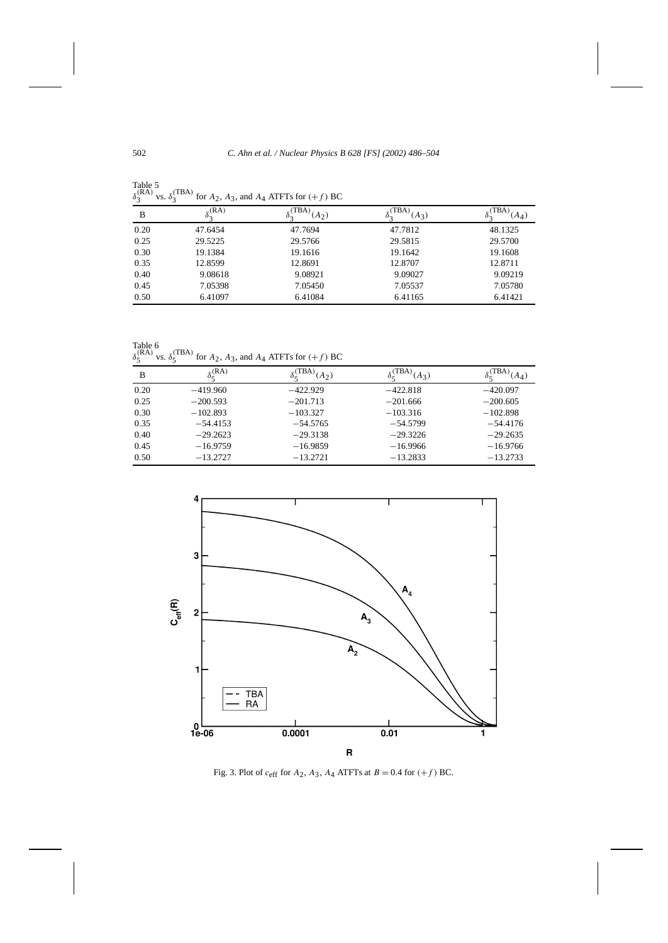| $\sigma_2$<br>$VS.$ $O2$<br>101 A <sub>2</sub> , A <sub>3</sub> , and A <sub>4</sub> AIFIS 101 ( $+11$ ) DC |                   |                                     |              |                  |  |
|-------------------------------------------------------------------------------------------------------------|-------------------|-------------------------------------|--------------|------------------|--|
| B                                                                                                           | $\delta_3^{(RA)}$ | $\Gamma$ (TBA)<br>(A <sub>2</sub> ) | $(TBA)(A_3)$ | (TBA)<br>$(A_4)$ |  |
| 0.20                                                                                                        | 47.6454           | 47.7694                             | 47.7812      | 48.1325          |  |
| 0.25                                                                                                        | 29.5225           | 29.5766                             | 29.5815      | 29.5700          |  |
| 0.30                                                                                                        | 19.1384           | 19.1616                             | 19.1642      | 19.1608          |  |
| 0.35                                                                                                        | 12.8599           | 12.8691                             | 12.8707      | 12.8711          |  |
| 0.40                                                                                                        | 9.08618           | 9.08921                             | 9.09027      | 9.09219          |  |
| 0.45                                                                                                        | 7.05398           | 7.05450                             | 7.05537      | 7.05780          |  |
| 0.50                                                                                                        | 6.41097           | 6.41084                             | 6.41165      | 6.41421          |  |

Table 5  $δ_3^{\text{(RA)}}$  vs. *δ*  $_{\text{S}}$ (TBA)  $_{\text{E}}$  $^{(1BA)}$  for  $A_2$ ,  $A_3$ , and  $A_4$  ATFTs for  $(+f)$  BC

Table 6  $\delta_5^{\text{(RA)}}$  vs.  $\delta_5^{\text{(TBA)}}$  for  $A_2$ ,  $A_3$ , and  $A_4$  ATFTs for  $(+f)$  BC

| B    | $\delta_{\zeta}^{(RA)}$ | $(A_2)$    | TBA)<br>$(A_3)$ | (A <sub>4</sub> ) |
|------|-------------------------|------------|-----------------|-------------------|
| 0.20 | $-419.960$              | $-422.929$ | $-422.818$      | $-420.097$        |
| 0.25 | $-200.593$              | $-201.713$ | $-201.666$      | $-200.605$        |
| 0.30 | $-102.893$              | $-103.327$ | $-103.316$      | $-102.898$        |
| 0.35 | $-54.4153$              | $-54.5765$ | $-54.5799$      | $-54.4176$        |
| 0.40 | $-29.2623$              | $-29.3138$ | $-29.3226$      | $-29.2635$        |
| 0.45 | $-16.9759$              | $-16.9859$ | $-16.9966$      | $-16.9766$        |
| 0.50 | $-13.2727$              | $-13.2721$ | $-13.2833$      | $-13.2733$        |



Fig. 3. Plot of  $c_{\text{eff}}$  for  $A_2$ ,  $A_3$ ,  $A_4$  ATFTs at  $B = 0.4$  for  $(+f)$  BC.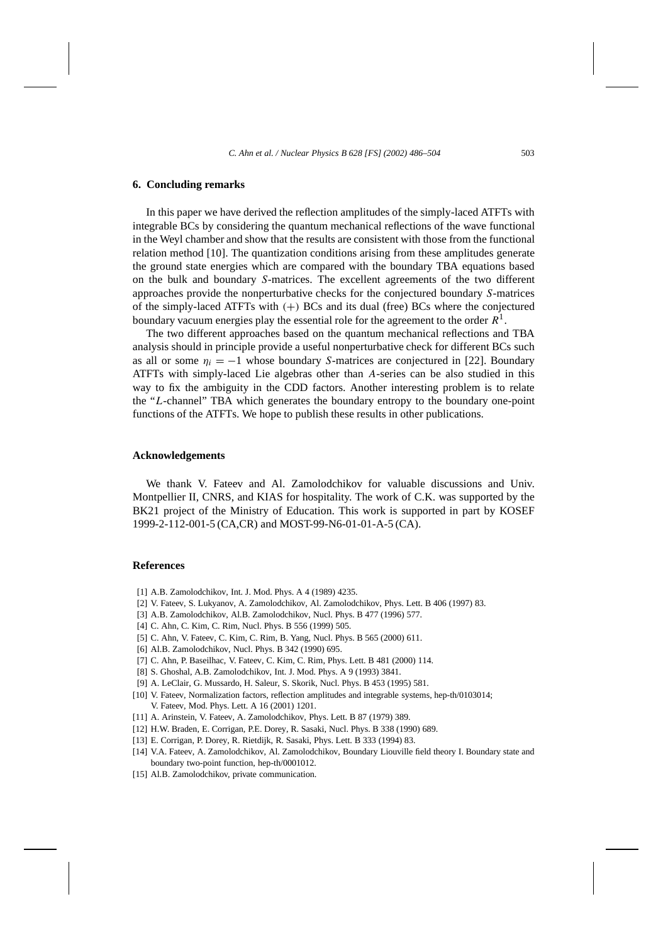#### **6. Concluding remarks**

In this paper we have derived the reflection amplitudes of the simply-laced ATFTs with integrable BCs by considering the quantum mechanical reflections of the wave functional in the Weyl chamber and show that the results are consistent with those from the functional relation method [10]. The quantization conditions arising from these amplitudes generate the ground state energies which are compared with the boundary TBA equations based on the bulk and boundary *S*-matrices. The excellent agreements of the two different approaches provide the nonperturbative checks for the conjectured boundary *S*-matrices of the simply-laced ATFTs with *(*+*)* BCs and its dual (free) BCs where the conjectured boundary vacuum energies play the essential role for the agreement to the order *R*1.

The two different approaches based on the quantum mechanical reflections and TBA analysis should in principle provide a useful nonperturbative check for different BCs such as all or some  $\eta_i = -1$  whose boundary *S*-matrices are conjectured in [22]. Boundary ATFTs with simply-laced Lie algebras other than *A*-series can be also studied in this way to fix the ambiguity in the CDD factors. Another interesting problem is to relate the "*L*-channel" TBA which generates the boundary entropy to the boundary one-point functions of the ATFTs. We hope to publish these results in other publications.

#### **Acknowledgements**

We thank V. Fateev and Al. Zamolodchikov for valuable discussions and Univ. Montpellier II, CNRS, and KIAS for hospitality. The work of C.K. was supported by the BK21 project of the Ministry of Education. This work is supported in part by KOSEF 1999-2-112-001-5 (CA,CR) and MOST-99-N6-01-01-A-5 (CA).

# **References**

- [1] A.B. Zamolodchikov, Int. J. Mod. Phys. A 4 (1989) 4235.
- [2] V. Fateev, S. Lukyanov, A. Zamolodchikov, Al. Zamolodchikov, Phys. Lett. B 406 (1997) 83.
- [3] A.B. Zamolodchikov, Al.B. Zamolodchikov, Nucl. Phys. B 477 (1996) 577.
- [4] C. Ahn, C. Kim, C. Rim, Nucl. Phys. B 556 (1999) 505.
- [5] C. Ahn, V. Fateev, C. Kim, C. Rim, B. Yang, Nucl. Phys. B 565 (2000) 611.
- [6] Al.B. Zamolodchikov, Nucl. Phys. B 342 (1990) 695.
- [7] C. Ahn, P. Baseilhac, V. Fateev, C. Kim, C. Rim, Phys. Lett. B 481 (2000) 114.
- [8] S. Ghoshal, A.B. Zamolodchikov, Int. J. Mod. Phys. A 9 (1993) 3841.
- [9] A. LeClair, G. Mussardo, H. Saleur, S. Skorik, Nucl. Phys. B 453 (1995) 581.
- [10] V. Fateev, Normalization factors, reflection amplitudes and integrable systems, hep-th/0103014; V. Fateev, Mod. Phys. Lett. A 16 (2001) 1201.
- [11] A. Arinstein, V. Fateev, A. Zamolodchikov, Phys. Lett. B 87 (1979) 389.
- [12] H.W. Braden, E. Corrigan, P.E. Dorey, R. Sasaki, Nucl. Phys. B 338 (1990) 689.
- [13] E. Corrigan, P. Dorey, R. Rietdijk, R. Sasaki, Phys. Lett. B 333 (1994) 83.
- [14] V.A. Fateev, A. Zamolodchikov, Al. Zamolodchikov, Boundary Liouville field theory I. Boundary state and boundary two-point function, hep-th/0001012.
- [15] Al.B. Zamolodchikov, private communication.